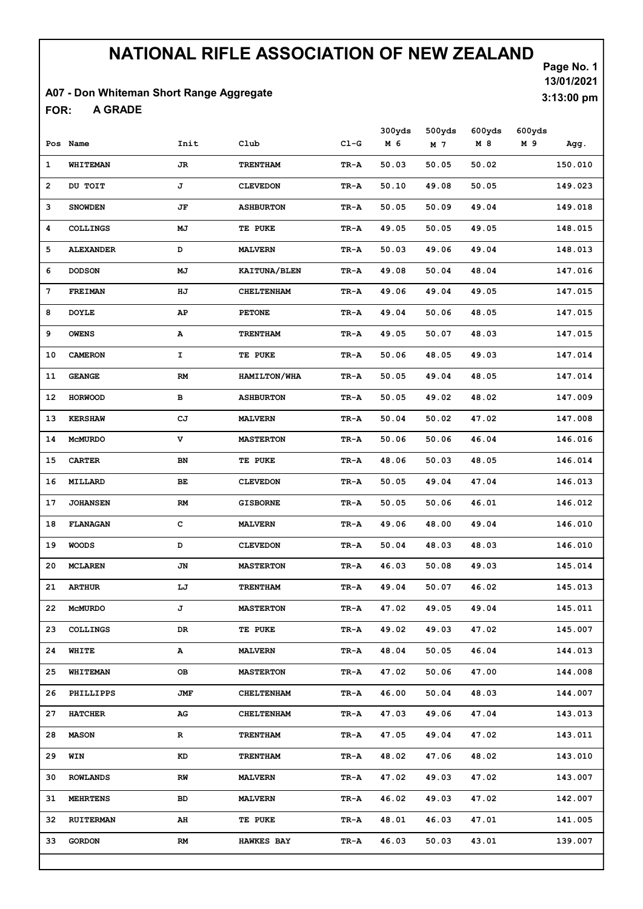#### A07 - Don Whiteman Short Range Aggregate

A GRADE FOR:

Page No. 1 13/01/2021 3:13:00 pm

|    | Pos Name         | Init      | Club                | $C1-G$ | 300yds<br>M 6 | 500yds<br>M 7 | 600yds<br>M 8 | 600yds<br>M 9 | Agg.    |
|----|------------------|-----------|---------------------|--------|---------------|---------------|---------------|---------------|---------|
|    |                  |           |                     |        |               |               |               |               |         |
| 1  | WHITEMAN         | JR.       | <b>TRENTHAM</b>     | TR-A   | 50.03         | 50.05         | 50.02         |               | 150.010 |
| 2  | DU TOIT          | J         | <b>CLEVEDON</b>     | TR-A   | 50.10         | 49.08         | 50.05         |               | 149.023 |
| з  | <b>SNOWDEN</b>   | JF        | <b>ASHBURTON</b>    | TR-A   | 50.05         | 50.09         | 49.04         |               | 149.018 |
| 4  | <b>COLLINGS</b>  | MJ        | TE PUKE             | TR-A   | 49.05         | 50.05         | 49.05         |               | 148.015 |
| 5  | <b>ALEXANDER</b> | D         | <b>MALVERN</b>      | TR-A   | 50.03         | 49.06         | 49.04         |               | 148.013 |
| 6  | <b>DODSON</b>    | MJ        | KAITUNA/BLEN        | TR-A   | 49.08         | 50.04         | 48.04         |               | 147.016 |
| 7  | <b>FREIMAN</b>   | HJ        | <b>CHELTENHAM</b>   | TR-A   | 49.06         | 49.04         | 49.05         |               | 147.015 |
| 8  | <b>DOYLE</b>     | AP        | <b>PETONE</b>       | TR-A   | 49.04         | 50.06         | 48.05         |               | 147.015 |
| 9  | <b>OWENS</b>     | А         | <b>TRENTHAM</b>     | TR-A   | 49.05         | 50.07         | 48.03         |               | 147.015 |
| 10 | <b>CAMERON</b>   | I.        | TE PUKE             | TR-A   | 50.06         | 48.05         | 49.03         |               | 147.014 |
| 11 | <b>GEANGE</b>    | RM        | <b>HAMILTON/WHA</b> | TR-A   | 50.05         | 49.04         | 48.05         |               | 147.014 |
| 12 | <b>HORWOOD</b>   | в         | <b>ASHBURTON</b>    | TR-A   | 50.05         | 49.02         | 48.02         |               | 147.009 |
| 13 | <b>KERSHAW</b>   | СJ        | <b>MALVERN</b>      | TR-A   | 50.04         | 50.02         | 47.02         |               | 147.008 |
| 14 | <b>MCMURDO</b>   | v         | <b>MASTERTON</b>    | TR-A   | 50.06         | 50.06         | 46.04         |               | 146.016 |
| 15 | <b>CARTER</b>    | BN        | TE PUKE             | TR-A   | 48.06         | 50.03         | 48.05         |               | 146.014 |
| 16 | MILLARD          | <b>BE</b> | <b>CLEVEDON</b>     | TR-A   | 50.05         | 49.04         | 47.04         |               | 146.013 |
| 17 | <b>JOHANSEN</b>  | <b>RM</b> | <b>GISBORNE</b>     | TR-A   | 50.05         | 50.06         | 46.01         |               | 146.012 |
| 18 | <b>FLANAGAN</b>  | c         | <b>MALVERN</b>      | TR-A   | 49.06         | 48.00         | 49.04         |               | 146.010 |
| 19 | <b>WOODS</b>     | D         | <b>CLEVEDON</b>     | TR-A   | 50.04         | 48.03         | 48.03         |               | 146.010 |
| 20 | <b>MCLAREN</b>   | JN        | <b>MASTERTON</b>    | TR-A   | 46.03         | 50.08         | 49.03         |               | 145.014 |
| 21 | <b>ARTHUR</b>    | LJ        | <b>TRENTHAM</b>     | TR-A   | 49.04         | 50.07         | 46.02         |               | 145.013 |
| 22 | <b>MCMURDO</b>   | J         | <b>MASTERTON</b>    | TR-A   | 47.02         | 49.05         | 49.04         |               | 145.011 |
| 23 | <b>COLLINGS</b>  | DR        | TE PUKE             | TR-A   | 49.02         | 49.03         | 47.02         |               | 145.007 |
| 24 | WHITE            | А         | <b>MALVERN</b>      | TR-A   | 48.04         | 50.05         | 46.04         |               | 144.013 |
| 25 | WHITEMAN         | OВ        | <b>MASTERTON</b>    | TR-A   | 47.02         | 50.06         | 47.00         |               | 144.008 |
| 26 | PHILLIPPS        | JMF       | <b>CHELTENHAM</b>   | TR-A   | 46.00         | 50.04         | 48.03         |               | 144.007 |
| 27 | <b>HATCHER</b>   | AG        | <b>CHELTENHAM</b>   | TR-A   | 47.03         | 49.06         | 47.04         |               | 143.013 |
| 28 | <b>MASON</b>     | R         | <b>TRENTHAM</b>     | TR-A   | 47.05         | 49.04         | 47.02         |               | 143.011 |
| 29 | WIN              | KD        | <b>TRENTHAM</b>     | TR-A   | 48.02         | 47.06         | 48.02         |               | 143.010 |
| 30 | <b>ROWLANDS</b>  | RW        | <b>MALVERN</b>      | TR-A   | 47.02         | 49.03         | 47.02         |               | 143.007 |
| 31 | <b>MEHRTENS</b>  | BD        | <b>MALVERN</b>      | TR-A   | 46.02         | 49.03         | 47.02         |               | 142.007 |
| 32 | <b>RUITERMAN</b> | AH        | TE PUKE             | TR-A   | 48.01         | 46.03         | 47.01         |               | 141.005 |
| 33 | <b>GORDON</b>    | RM        |                     |        | 46.03         | 50.03         |               |               | 139.007 |
|    |                  |           | <b>HAWKES BAY</b>   | TR-A   |               |               | 43.01         |               |         |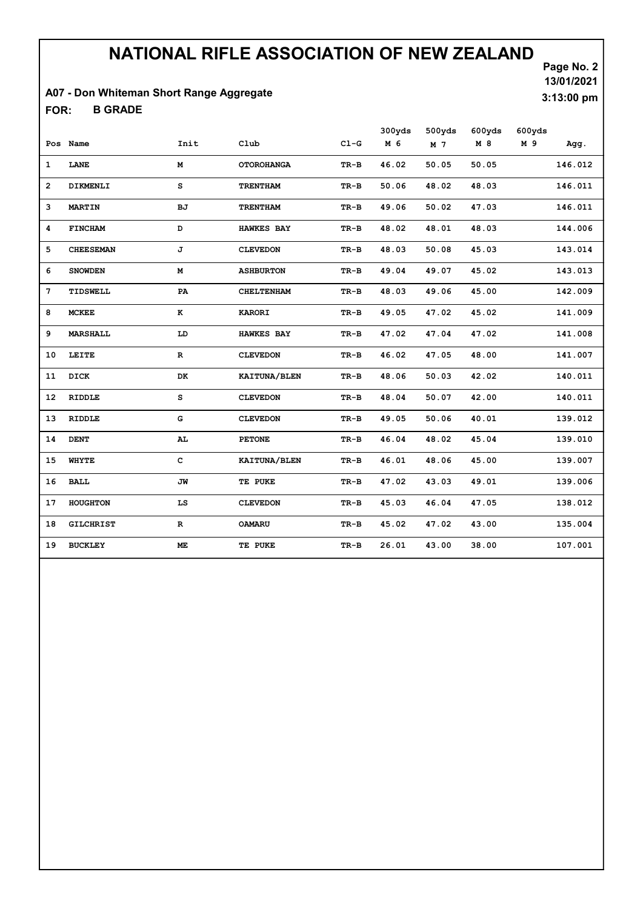#### A07 - Don Whiteman Short Range Aggregate

B GRADE FOR:

Page No. 2 13/01/2021 3:13:00 pm

|                 |                  |             |                     |        | 300yds | 500yds | 600yds | 600yds |         |
|-----------------|------------------|-------------|---------------------|--------|--------|--------|--------|--------|---------|
|                 | Pos Name         | Init        | Club                | $C1-G$ | M 6    | M 7    | M 8    | M 9    | Agg.    |
| $\mathbf{1}$    | LANE             | М           | <b>OTOROHANGA</b>   | TR-B   | 46.02  | 50.05  | 50.05  |        | 146.012 |
| $\overline{2}$  | DIKMENLI         | s           | <b>TRENTHAM</b>     | TR-B   | 50.06  | 48.02  | 48.03  |        | 146.011 |
| 3               | <b>MARTIN</b>    | BJ          | <b>TRENTHAM</b>     | TR-B   | 49.06  | 50.02  | 47.03  |        | 146.011 |
| 4               | <b>FINCHAM</b>   | D           | <b>HAWKES BAY</b>   | TR-B   | 48.02  | 48.01  | 48.03  |        | 144.006 |
| 5               | <b>CHEESEMAN</b> | J           | <b>CLEVEDON</b>     | TR-B   | 48.03  | 50.08  | 45.03  |        | 143.014 |
| 6               | <b>SNOWDEN</b>   | М           | <b>ASHBURTON</b>    | TR-B   | 49.04  | 49.07  | 45.02  |        | 143.013 |
| $7\phantom{.0}$ | TIDSWELL         | PA          | <b>CHELTENHAM</b>   | TR-B   | 48.03  | 49.06  | 45.00  |        | 142.009 |
| 8               | <b>MCKEE</b>     | K           | <b>KARORI</b>       | TR-B   | 49.05  | 47.02  | 45.02  |        | 141.009 |
| 9               | <b>MARSHALL</b>  | LD          | <b>HAWKES BAY</b>   | TR-B   | 47.02  | 47.04  | 47.02  |        | 141.008 |
| 10              | LEITE            | R           | <b>CLEVEDON</b>     | TR-B   | 46.02  | 47.05  | 48.00  |        | 141.007 |
| 11              | DICK             | DK          | KAITUNA/BLEN        | TR-B   | 48.06  | 50.03  | 42.02  |        | 140.011 |
| 12              | <b>RIDDLE</b>    | s           | <b>CLEVEDON</b>     | TR-B   | 48.04  | 50.07  | 42.00  |        | 140.011 |
| 13              | <b>RIDDLE</b>    | G           | <b>CLEVEDON</b>     | TR-B   | 49.05  | 50.06  | 40.01  |        | 139.012 |
| 14              | <b>DENT</b>      | AL.         | <b>PETONE</b>       | TR-B   | 46.04  | 48.02  | 45.04  |        | 139.010 |
| 15              | WHYTE            | $\mathbf c$ | <b>KAITUNA/BLEN</b> | TR-B   | 46.01  | 48.06  | 45.00  |        | 139.007 |
| 16              | <b>BALL</b>      | JW          | TE PUKE             | TR-B   | 47.02  | 43.03  | 49.01  |        | 139.006 |
| 17              | <b>HOUGHTON</b>  | LS          | <b>CLEVEDON</b>     | TR-B   | 45.03  | 46.04  | 47.05  |        | 138.012 |
| 18              | <b>GILCHRIST</b> | $\mathbf R$ | <b>OAMARU</b>       | TR-B   | 45.02  | 47.02  | 43.00  |        | 135.004 |
| 19              | <b>BUCKLEY</b>   | ME.         | TE PUKE             | TR-B   | 26.01  | 43.00  | 38.00  |        | 107.001 |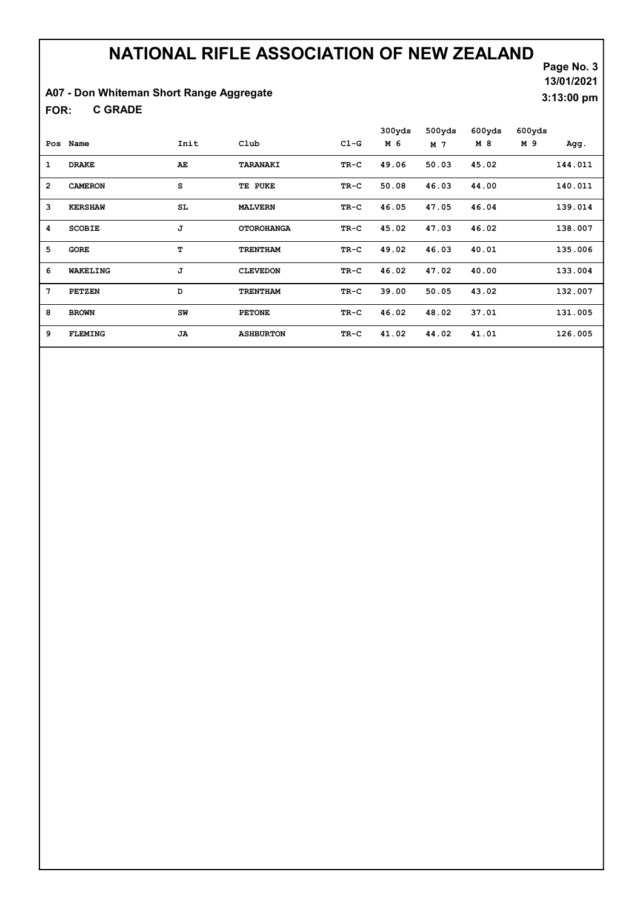### A07 - Don Whiteman Short Range Aggregate

C GRADE FOR:

Page No. 3 13/01/2021 3:13:00 pm

|                 |                 |           |                   |        | 300yds | 500yds | 600yds | 600yds |         |
|-----------------|-----------------|-----------|-------------------|--------|--------|--------|--------|--------|---------|
| Pos             | Name            | Init      | Club              | $CL-G$ | M 6    | M 7    | M 8    | M 9    | Agg.    |
| 1               | <b>DRAKE</b>    | AE        | TARANAKI          | TR-C   | 49.06  | 50.03  | 45.02  |        | 144.011 |
| $\overline{2}$  | <b>CAMERON</b>  | s         | TE PUKE           | TR-C   | 50.08  | 46.03  | 44.00  |        | 140.011 |
| 3               | <b>KERSHAW</b>  | SL        | <b>MALVERN</b>    | TR-C   | 46.05  | 47.05  | 46.04  |        | 139.014 |
| 4               | <b>SCOBIE</b>   | J         | <b>OTOROHANGA</b> | TR-C   | 45.02  | 47.03  | 46.02  |        | 138.007 |
| 5               | <b>GORE</b>     | т         | <b>TRENTHAM</b>   | TR-C   | 49.02  | 46.03  | 40.01  |        | 135.006 |
| 6               | <b>WAKELING</b> | J         | <b>CLEVEDON</b>   | TR-C   | 46.02  | 47.02  | 40.00  |        | 133.004 |
| $7\phantom{.0}$ | PETZEN          | D         | <b>TRENTHAM</b>   | TR-C   | 39.00  | 50.05  | 43.02  |        | 132.007 |
| 8               | <b>BROWN</b>    | SW        | <b>PETONE</b>     | TR-C   | 46.02  | 48.02  | 37.01  |        | 131.005 |
| 9               | <b>FLEMING</b>  | <b>JA</b> | <b>ASHBURTON</b>  | TR-C   | 41.02  | 44.02  | 41.01  |        | 126.005 |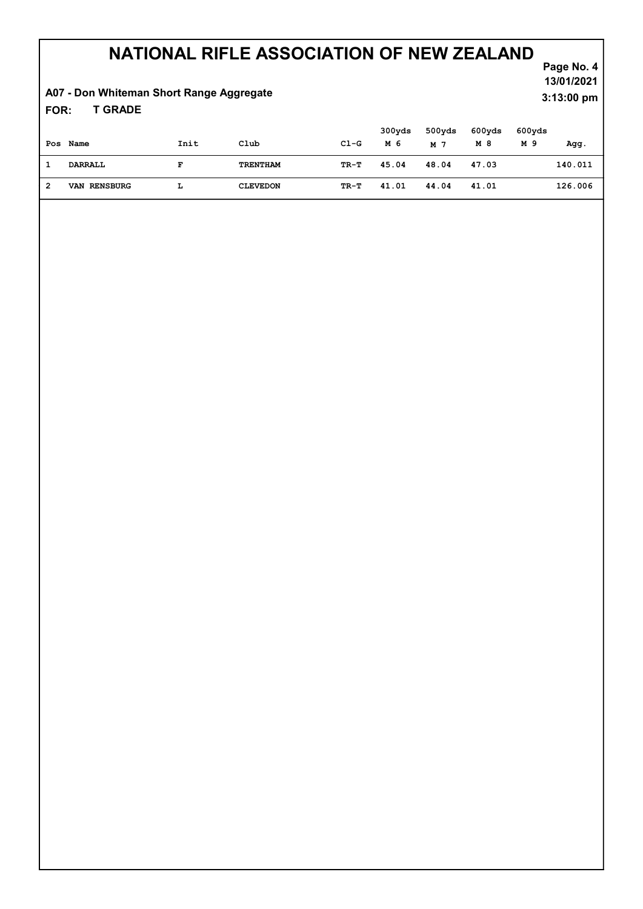### A07 - Don Whiteman Short Range Aggregate

T GRADE FOR:

|   | Pos Name            | Init | Club            | $C1-G$ | 300yds<br>M 6 | 500yds<br>M 7 | 600yds<br>M 8 | 600yds<br>M 9 | Agg.    |
|---|---------------------|------|-----------------|--------|---------------|---------------|---------------|---------------|---------|
|   | DARRALL             | F    | TRENTHAM        | TR-T   | 45.04         | 48.04         | 47.03         |               | 140.011 |
| 2 | <b>VAN RENSBURG</b> | L    | <b>CLEVEDON</b> | TR-T   | 41.01         | 44.04         | 41.01         |               | 126.006 |

Page No. 4 13/01/2021 3:13:00 pm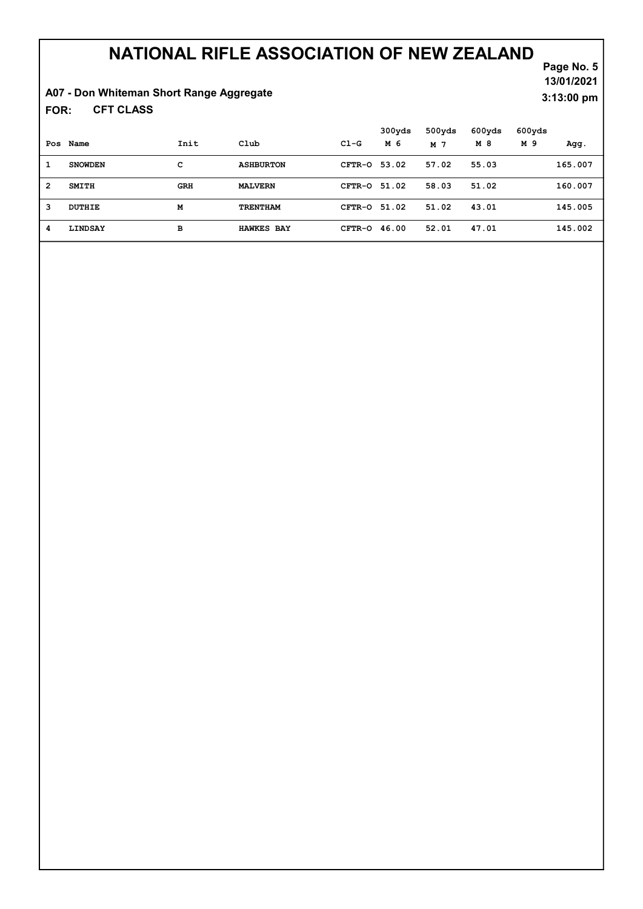### A07 - Don Whiteman Short Range Aggregate

CFT CLASS FOR:

Page No. 5 13/01/2021 3:13:00 pm

|                |                |      |                   |                | 300yds | 500yds | 600yds | 600yds |         |
|----------------|----------------|------|-------------------|----------------|--------|--------|--------|--------|---------|
|                | Pos Name       | Init | Club              | $C1-G$         | M 6    | M 7    | M 8    | M 9    | Agg.    |
| 1              | <b>SNOWDEN</b> | c    | <b>ASHBURTON</b>  | CFTR-0 53.02   |        | 57.02  | 55.03  |        | 165.007 |
| $\overline{2}$ | <b>SMITH</b>   | GRH  | <b>MALVERN</b>    | CFTR-0 51.02   |        | 58.03  | 51.02  |        | 160.007 |
| 3              | DUTHIE         | M    | <b>TRENTHAM</b>   | CFTR-0 51.02   |        | 51.02  | 43.01  |        | 145.005 |
| 4              | LINDSAY        | в    | <b>HAWKES BAY</b> | $CFTR-O$ 46.00 |        | 52.01  | 47.01  |        | 145.002 |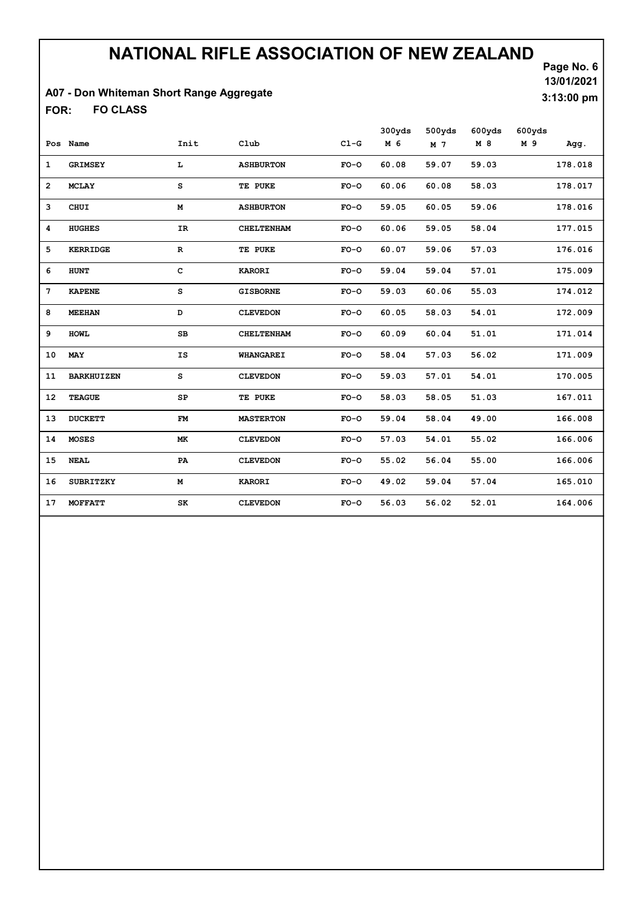### A07 - Don Whiteman Short Range Aggregate

FO CLASS FOR:

Page No. 6 13/01/2021 3:13:00 pm

|                 |                   |             |                   |        | 300yds | 500yds | 600yds | 600yds |         |
|-----------------|-------------------|-------------|-------------------|--------|--------|--------|--------|--------|---------|
|                 | Pos Name          | Init        | Club              | $C1-G$ | M 6    | M 7    | M 8    | M 9    | Agg.    |
| $\mathbf{1}$    | <b>GRIMSEY</b>    | L           | <b>ASHBURTON</b>  | $FO-O$ | 60.08  | 59.07  | 59.03  |        | 178.018 |
| $\overline{2}$  | <b>MCLAY</b>      | s           | TE PUKE           | $FO-O$ | 60.06  | 60.08  | 58.03  |        | 178.017 |
| 3               | CHUI              | М           | <b>ASHBURTON</b>  | $FO-O$ | 59.05  | 60.05  | 59.06  |        | 178.016 |
| 4               | <b>HUGHES</b>     | IR          | <b>CHELTENHAM</b> | $FO-O$ | 60.06  | 59.05  | 58.04  |        | 177.015 |
| 5               | <b>KERRIDGE</b>   | $\mathbf R$ | TE PUKE           | $FO-O$ | 60.07  | 59.06  | 57.03  |        | 176.016 |
| 6               | HUNT              | $\mathbf c$ | <b>KARORI</b>     | $FO-O$ | 59.04  | 59.04  | 57.01  |        | 175.009 |
| $7\phantom{.0}$ | <b>KAPENE</b>     | s           | <b>GISBORNE</b>   | $FO-O$ | 59.03  | 60.06  | 55.03  |        | 174.012 |
| 8               | <b>MEEHAN</b>     | D           | <b>CLEVEDON</b>   | $FO-O$ | 60.05  | 58.03  | 54.01  |        | 172.009 |
| 9               | <b>HOWL</b>       | $_{\rm SB}$ | <b>CHELTENHAM</b> | $FO-O$ | 60.09  | 60.04  | 51.01  |        | 171.014 |
| 10              | MAY               | IS          | <b>WHANGAREI</b>  | $FO-O$ | 58.04  | 57.03  | 56.02  |        | 171.009 |
| 11              | <b>BARKHUIZEN</b> | s           | <b>CLEVEDON</b>   | $FO-O$ | 59.03  | 57.01  | 54.01  |        | 170.005 |
| 12              | <b>TEAGUE</b>     | SP          | TE PUKE           | $FO-O$ | 58.03  | 58.05  | 51.03  |        | 167.011 |
| 13              | <b>DUCKETT</b>    | FM          | <b>MASTERTON</b>  | $FO-O$ | 59.04  | 58.04  | 49.00  |        | 166.008 |
| 14              | <b>MOSES</b>      | МK          | <b>CLEVEDON</b>   | $FO-O$ | 57.03  | 54.01  | 55.02  |        | 166.006 |
| 15              | <b>NEAL</b>       | PA          | <b>CLEVEDON</b>   | $FO-O$ | 55.02  | 56.04  | 55.00  |        | 166.006 |
| 16              | <b>SUBRITZKY</b>  | М           | <b>KARORI</b>     | $FO-O$ | 49.02  | 59.04  | 57.04  |        | 165.010 |
| 17              | <b>MOFFATT</b>    | SK          | <b>CLEVEDON</b>   | $FO-O$ | 56.03  | 56.02  | 52.01  |        | 164.006 |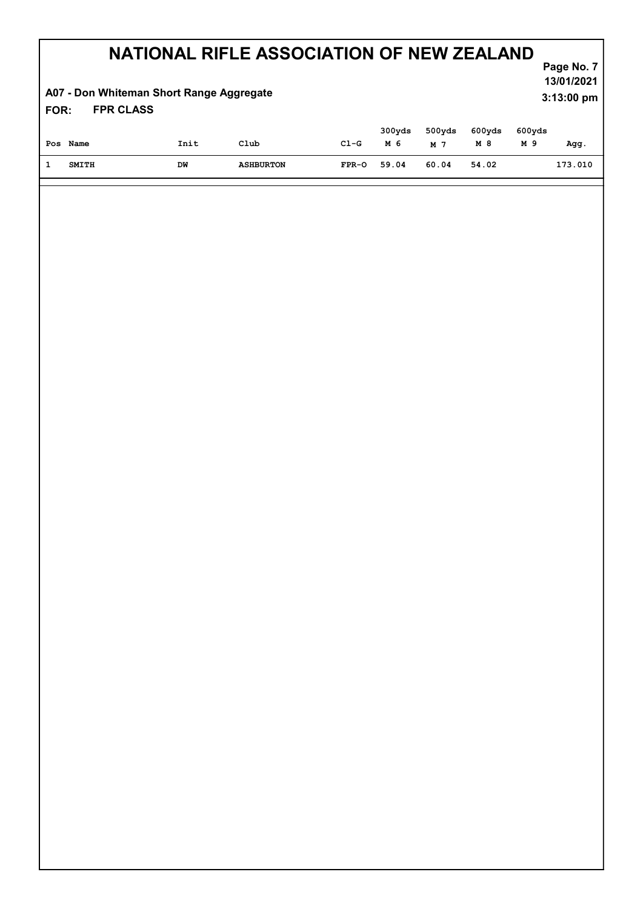#### A07 - Don Whiteman Short Range Aggregate

Page No. 7 13/01/2021 3:13:00 pm

#### FPR CLASS FOR:

| Pos Name | Init | Club             | $C1-G$  | 300yds<br>м 6 | 500yds<br>M 7 | 600yds<br>M 8 | 600yds<br>M 9 | Agg.    |
|----------|------|------------------|---------|---------------|---------------|---------------|---------------|---------|
| SMITH    | DW   | <b>ASHBURTON</b> | $FPR-O$ | 59.04         | 60.04         | 54.02         |               | 173.010 |